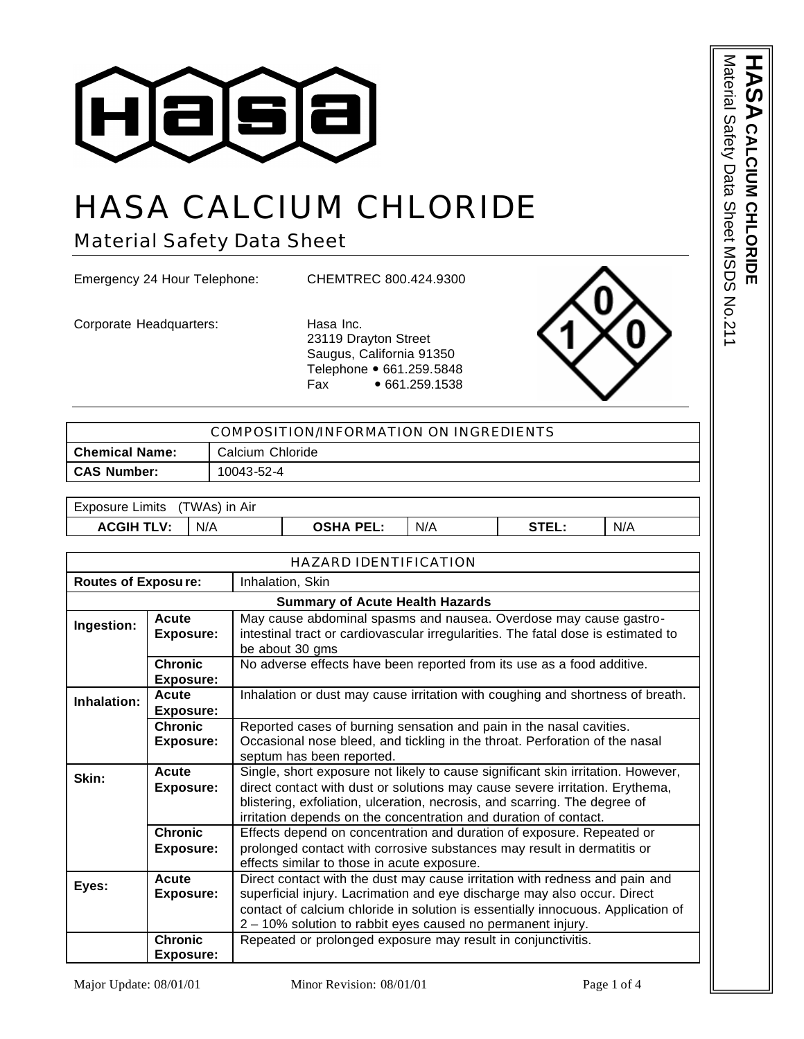

# HASA CALCIUM CHLORIDE

Material Safety Data Sheet

Emergency 24 Hour Telephone: CHEMTREC 800.424.9300

Corporate Headquarters: Hasa Inc.

23119 Drayton Street Saugus, California 91350 Telephone • 661.259.5848 Fax • 661.259.1538



| COMPOSITION/INFORMATION ON INGREDIENTS  |                                                                                                              |            |                                                                                                                                                                                                                                                                                                                    |     |       |     |  |  |  |
|-----------------------------------------|--------------------------------------------------------------------------------------------------------------|------------|--------------------------------------------------------------------------------------------------------------------------------------------------------------------------------------------------------------------------------------------------------------------------------------------------------------------|-----|-------|-----|--|--|--|
| <b>Chemical Name:</b>                   |                                                                                                              |            | Calcium Chloride                                                                                                                                                                                                                                                                                                   |     |       |     |  |  |  |
| <b>CAS Number:</b>                      |                                                                                                              | 10043-52-4 |                                                                                                                                                                                                                                                                                                                    |     |       |     |  |  |  |
|                                         |                                                                                                              |            |                                                                                                                                                                                                                                                                                                                    |     |       |     |  |  |  |
| <b>Exposure Limits</b><br>(TWAs) in Air |                                                                                                              |            |                                                                                                                                                                                                                                                                                                                    |     |       |     |  |  |  |
| <b>ACGIH TLV:</b>                       | N/A                                                                                                          |            | <b>OSHA PEL:</b>                                                                                                                                                                                                                                                                                                   | N/A | STEL: | N/A |  |  |  |
|                                         |                                                                                                              |            |                                                                                                                                                                                                                                                                                                                    |     |       |     |  |  |  |
|                                         |                                                                                                              |            | <b>HAZARD IDENTIFICATION</b>                                                                                                                                                                                                                                                                                       |     |       |     |  |  |  |
| <b>Routes of Exposure:</b>              |                                                                                                              |            | Inhalation, Skin                                                                                                                                                                                                                                                                                                   |     |       |     |  |  |  |
|                                         |                                                                                                              |            | <b>Summary of Acute Health Hazards</b>                                                                                                                                                                                                                                                                             |     |       |     |  |  |  |
| Ingestion:                              | Acute<br><b>Exposure:</b>                                                                                    |            | May cause abdominal spasms and nausea. Overdose may cause gastro-<br>intestinal tract or cardiovascular irregularities. The fatal dose is estimated to<br>be about 30 gms                                                                                                                                          |     |       |     |  |  |  |
|                                         | <b>Chronic</b><br>No adverse effects have been reported from its use as a food additive.<br><b>Exposure:</b> |            |                                                                                                                                                                                                                                                                                                                    |     |       |     |  |  |  |
| Inhalation:                             | Acute<br><b>Exposure:</b>                                                                                    |            | Inhalation or dust may cause irritation with coughing and shortness of breath.                                                                                                                                                                                                                                     |     |       |     |  |  |  |
|                                         | <b>Chronic</b><br><b>Exposure:</b>                                                                           |            | Reported cases of burning sensation and pain in the nasal cavities.<br>Occasional nose bleed, and tickling in the throat. Perforation of the nasal<br>septum has been reported.                                                                                                                                    |     |       |     |  |  |  |
| Skin:                                   | Acute<br><b>Exposure:</b>                                                                                    |            | Single, short exposure not likely to cause significant skin irritation. However,<br>direct contact with dust or solutions may cause severe irritation. Erythema,<br>blistering, exfoliation, ulceration, necrosis, and scarring. The degree of<br>irritation depends on the concentration and duration of contact. |     |       |     |  |  |  |
|                                         | <b>Chronic</b><br><b>Exposure:</b>                                                                           |            | Effects depend on concentration and duration of exposure. Repeated or<br>prolonged contact with corrosive substances may result in dermatitis or<br>effects similar to those in acute exposure.                                                                                                                    |     |       |     |  |  |  |

Direct contact with the dust may cause irritation with redness and pain and superficial injury. Lacrimation and eye discharge may also occur. Direct contact of calcium chloride in solution is essentially innocuous. Application of

2 – 10% solution to rabbit eyes caused no permanent injury.

Repeated or prolonged exposure may result in conjunctivitis.

Material Safety Data Sheet MSDS No.211 **HASA** Material Satety Data Sheet NSDS No.211 CALCIUM CHLORID **CALCIUM CHLORIDE** m

**Eyes: Acute** 

**Exposure:**

**Chronic Exposure:**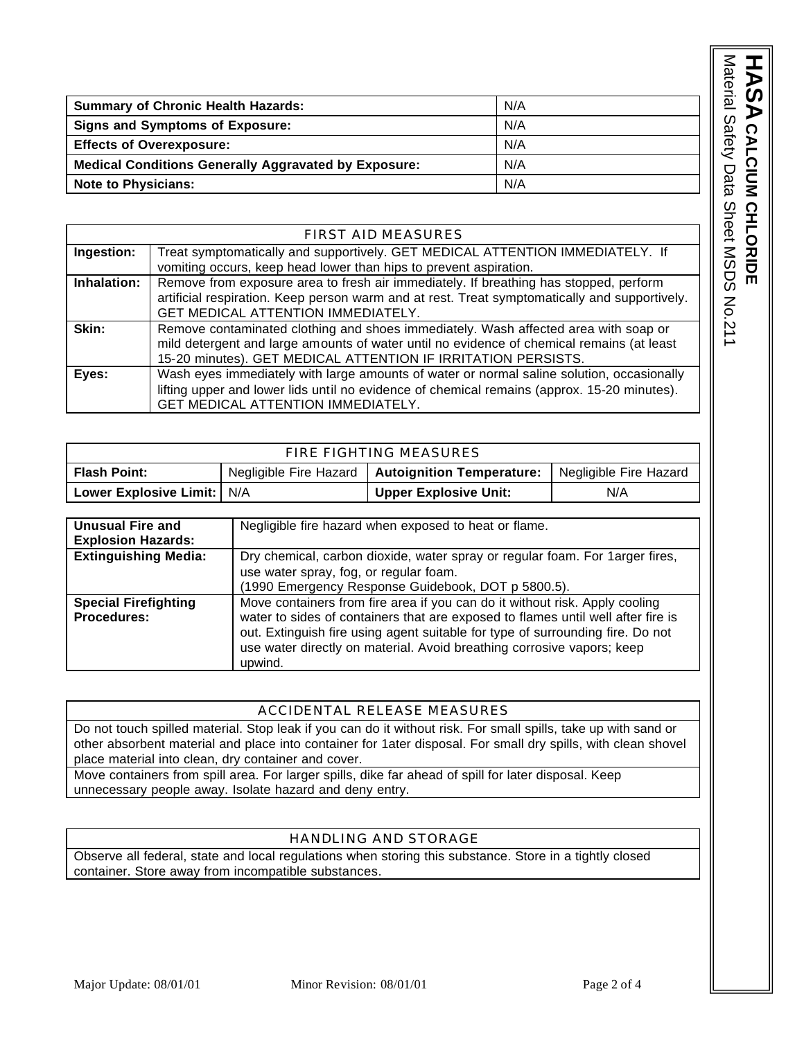| <b>Summary of Chronic Health Hazards:</b>                   | N/A |
|-------------------------------------------------------------|-----|
| <b>Signs and Symptoms of Exposure:</b>                      | N/A |
| <b>Effects of Overexposure:</b>                             | N/A |
| <b>Medical Conditions Generally Aggravated by Exposure:</b> | N/A |
| <b>Note to Physicians:</b>                                  | N/A |

|             | <b>FIRST AID MEASURES</b>                                                                     |  |  |  |  |  |
|-------------|-----------------------------------------------------------------------------------------------|--|--|--|--|--|
| Ingestion:  | Treat symptomatically and supportively. GET MEDICAL ATTENTION IMMEDIATELY. If                 |  |  |  |  |  |
|             | vomiting occurs, keep head lower than hips to prevent aspiration.                             |  |  |  |  |  |
| Inhalation: | Remove from exposure area to fresh air immediately. If breathing has stopped, perform         |  |  |  |  |  |
|             | artificial respiration. Keep person warm and at rest. Treat symptomatically and supportively. |  |  |  |  |  |
|             | GET MEDICAL ATTENTION IMMEDIATELY.                                                            |  |  |  |  |  |
| Skin:       | Remove contaminated clothing and shoes immediately. Wash affected area with soap or           |  |  |  |  |  |
|             | mild detergent and large amounts of water until no evidence of chemical remains (at least     |  |  |  |  |  |
|             | 15-20 minutes). GET MEDICAL ATTENTION IF IRRITATION PERSISTS.                                 |  |  |  |  |  |
| Eyes:       | Wash eyes immediately with large amounts of water or normal saline solution, occasionally     |  |  |  |  |  |
|             | lifting upper and lower lids until no evidence of chemical remains (approx. 15-20 minutes).   |  |  |  |  |  |
|             | GET MEDICAL ATTENTION IMMEDIATELY.                                                            |  |  |  |  |  |

| <b>FIRE FIGHTING MEASURES</b> |                        |                              |     |  |  |  |  |  |
|-------------------------------|------------------------|------------------------------|-----|--|--|--|--|--|
| <b>Flash Point:</b>           | Negligible Fire Hazard |                              |     |  |  |  |  |  |
| Lower Explosive Limit:   N/A  |                        | <b>Upper Explosive Unit:</b> | N/A |  |  |  |  |  |

| Unusual Fire and<br><b>Explosion Hazards:</b>                                                                                                          | Negligible fire hazard when exposed to heat or flame.                                                                                                                                                                                                                                                                                  |  |  |  |  |
|--------------------------------------------------------------------------------------------------------------------------------------------------------|----------------------------------------------------------------------------------------------------------------------------------------------------------------------------------------------------------------------------------------------------------------------------------------------------------------------------------------|--|--|--|--|
| <b>Extinguishing Media:</b><br>Dry chemical, carbon dioxide, water spray or regular foam. For 1 arger fires,<br>use water spray, fog, or regular foam. |                                                                                                                                                                                                                                                                                                                                        |  |  |  |  |
|                                                                                                                                                        | (1990 Emergency Response Guidebook, DOT p 5800.5).                                                                                                                                                                                                                                                                                     |  |  |  |  |
| <b>Special Firefighting</b><br><b>Procedures:</b>                                                                                                      | Move containers from fire area if you can do it without risk. Apply cooling<br>water to sides of containers that are exposed to flames until well after fire is<br>out. Extinguish fire using agent suitable for type of surrounding fire. Do not<br>use water directly on material. Avoid breathing corrosive vapors; keep<br>upwind. |  |  |  |  |

#### ACCIDENTAL RELEASE MEASURES

Do not touch spilled material. Stop leak if you can do it without risk. For small spills, take up with sand or other absorbent material and place into container for 1ater disposal. For small dry spills, with clean shovel place material into clean, dry container and cover.

Move containers from spill area. For larger spills, dike far ahead of spill for later disposal. Keep unnecessary people away. Isolate hazard and deny entry.

#### HANDLING AND STORAGE

Observe all federal, state and local regulations when storing this substance. Store in a tightly closed container. Store away from incompatible substances.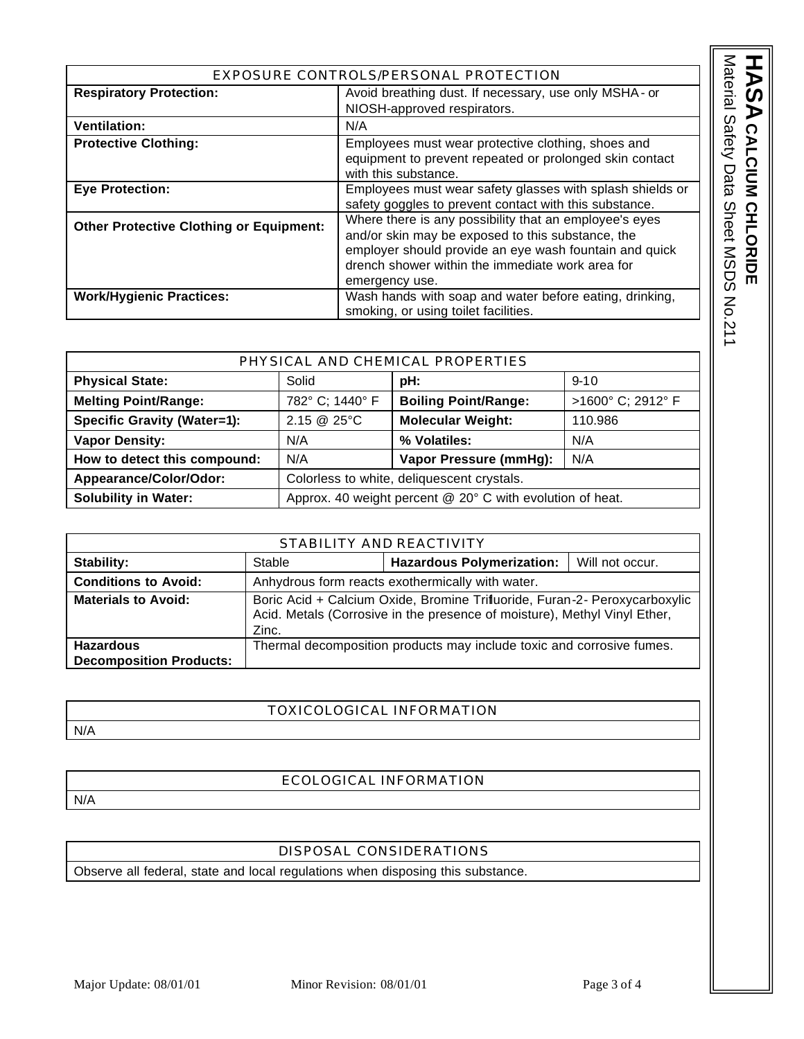| EXPOSURE CONTROLS/PERSONAL PROTECTION          |                                                           |  |  |  |  |
|------------------------------------------------|-----------------------------------------------------------|--|--|--|--|
| <b>Respiratory Protection:</b>                 | Avoid breathing dust. If necessary, use only MSHA - or    |  |  |  |  |
|                                                | NIOSH-approved respirators.                               |  |  |  |  |
| <b>Ventilation:</b>                            | N/A                                                       |  |  |  |  |
| <b>Protective Clothing:</b>                    | Employees must wear protective clothing, shoes and        |  |  |  |  |
|                                                | equipment to prevent repeated or prolonged skin contact   |  |  |  |  |
|                                                | with this substance.                                      |  |  |  |  |
| <b>Eye Protection:</b>                         | Employees must wear safety glasses with splash shields or |  |  |  |  |
|                                                | safety goggles to prevent contact with this substance.    |  |  |  |  |
| <b>Other Protective Clothing or Equipment:</b> | Where there is any possibility that an employee's eyes    |  |  |  |  |
|                                                | and/or skin may be exposed to this substance, the         |  |  |  |  |
|                                                | employer should provide an eye wash fountain and quick    |  |  |  |  |
|                                                | drench shower within the immediate work area for          |  |  |  |  |
|                                                | emergency use.                                            |  |  |  |  |
| <b>Work/Hygienic Practices:</b>                | Wash hands with soap and water before eating, drinking,   |  |  |  |  |
|                                                | smoking, or using toilet facilities.                      |  |  |  |  |

| PHYSICAL AND CHEMICAL PROPERTIES   |                                                           |                             |                   |  |  |  |
|------------------------------------|-----------------------------------------------------------|-----------------------------|-------------------|--|--|--|
| <b>Physical State:</b>             | Solid                                                     | pH:                         | $9 - 10$          |  |  |  |
| <b>Melting Point/Range:</b>        | 782° C; 1440° F                                           | <b>Boiling Point/Range:</b> | >1600° C; 2912° F |  |  |  |
| <b>Specific Gravity (Water=1):</b> | 2.15 @ 25°C                                               | <b>Molecular Weight:</b>    | 110.986           |  |  |  |
| <b>Vapor Density:</b>              | N/A                                                       | % Volatiles:                | N/A               |  |  |  |
| How to detect this compound:       | Vapor Pressure (mmHg):<br>N/A                             |                             | N/A               |  |  |  |
| Appearance/Color/Odor:             | Colorless to white, deliquescent crystals.                |                             |                   |  |  |  |
| <b>Solubility in Water:</b>        | Approx. 40 weight percent @ 20° C with evolution of heat. |                             |                   |  |  |  |

| STABILITY AND REACTIVITY                                                                                                                                                                       |                                                  |                                                                       |                 |  |  |  |
|------------------------------------------------------------------------------------------------------------------------------------------------------------------------------------------------|--------------------------------------------------|-----------------------------------------------------------------------|-----------------|--|--|--|
| <b>Stability:</b>                                                                                                                                                                              | Stable                                           | <b>Hazardous Polymerization:</b>                                      | Will not occur. |  |  |  |
| <b>Conditions to Avoid:</b>                                                                                                                                                                    | Anhydrous form reacts exothermically with water. |                                                                       |                 |  |  |  |
| Boric Acid + Calcium Oxide, Bromine Trifluoride, Furan-2- Peroxycarboxylic<br><b>Materials to Avoid:</b><br>Acid. Metals (Corrosive in the presence of moisture), Methyl Vinyl Ether,<br>Zinc. |                                                  |                                                                       |                 |  |  |  |
| <b>Hazardous</b><br><b>Decomposition Products:</b>                                                                                                                                             |                                                  | Thermal decomposition products may include toxic and corrosive fumes. |                 |  |  |  |

#### TOXICOLOGICAL INFORMATION

N/A

### ECOLOGICAL INFORMATION

N/A

## DISPOSAL CONSIDERATIONS

Observe all federal, state and local regulations when disposing this substance.

HASA CALCIUM CHLORIDE

**CALCIUM CHLORIDE** Material Safety Data Sheet MSDS No.211

Material Safety Data Sheet MSDS No.211